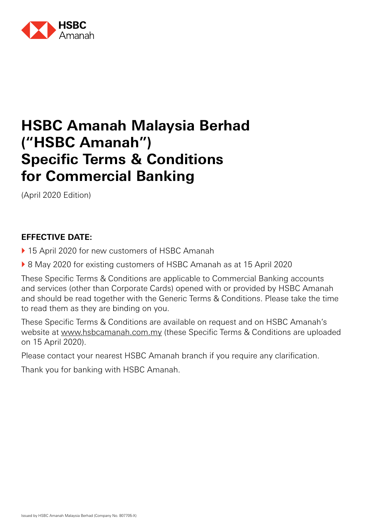

# **HSBC Amanah Malaysia Berhad ("HSBC Amanah") Specific Terms & Conditions for Commercial Banking**

(April 2020 Edition)

### **EFFECTIVE DATE:**

- ▶ 15 April 2020 for new customers of HSBC Amanah
- ▶ 8 May 2020 for existing customers of HSBC Amanah as at 15 April 2020

These Specific Terms & Conditions are applicable to Commercial Banking accounts and services (other than Corporate Cards) opened with or provided by HSBC Amanah and should be read together with the Generic Terms & Conditions. Please take the time to read them as they are binding on you.

These Specific Terms & Conditions are available on request and on HSBC Amanah's website at www.hsbcamanah.com.my (these Specific Terms & Conditions are uploaded on 15 April 2020).

Please contact your nearest HSBC Amanah branch if you require any clarification.

Thank you for banking with HSBC Amanah.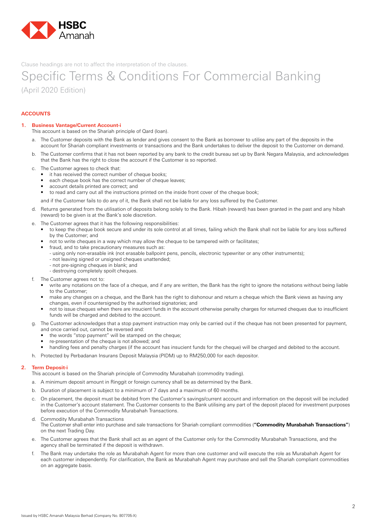

Specific Terms & Conditions For Commercial Banking (April 2020 Edition)

#### **ACCOUNTS**

#### **1. Business Vantage/Current Account-i**

This account is based on the Shariah principle of Qard (loan).

- a. The Customer deposits with the Bank as lender and gives consent to the Bank as borrower to utilise any part of the deposits in the account for Shariah compliant investments or transactions and the Bank undertakes to deliver the deposit to the Customer on demand.
- b. The Customer confirms that it has not been reported by any bank to the credit bureau set up by Bank Negara Malaysia, and acknowledges that the Bank has the right to close the account if the Customer is so reported.
- c. The Customer agrees to check that:
	- it has received the correct number of cheque books;
	- each cheque book has the correct number of cheque leaves;
	- account details printed are correct; and
	- to read and carry out all the instructions printed on the inside front cover of the cheque book;

and if the Customer fails to do any of it, the Bank shall not be liable for any loss suffered by the Customer.

- d. Returns generated from the utilisation of deposits belong solely to the Bank. Hibah (reward) has been granted in the past and any hibah (reward) to be given is at the Bank's sole discretion.
- e. The Customer agrees that it has the following responsibilities:
	- • to keep the cheque book secure and under its sole control at all times, failing which the Bank shall not be liable for any loss suffered by the Customer; and
	- not to write cheques in a way which may allow the cheque to be tampered with or facilitates;
	- fraud, and to take precautionary measures such as:
	- using only non-erasable ink (not erasable ballpoint pens, pencils, electronic typewriter or any other instruments);
	- not leaving signed or unsigned cheques unattended;
	- not pre-signing cheques in blank; and
	- destroying completely spoilt cheques.
- f. The Customer agrees not to:
	- write any notations on the face of a cheque, and if any are written, the Bank has the right to ignore the notations without being liable to the Customer;
	- make any changes on a cheque, and the Bank has the right to dishonour and return a cheque which the Bank views as having any changes, even if countersigned by the authorised signatories; and
	- not to issue cheques when there are insucient funds in the account otherwise penalty charges for returned cheques due to insufficient funds will be charged and debited to the account.
- g. The Customer acknowledges that a stop payment instruction may only be carried out if the cheque has not been presented for payment, and once carried out, cannot be reversed and:
	- the words "stop payment" will be stamped on the cheque;
	- re-presentation of the cheque is not allowed; and
	- handling fees and penalty charges (if the account has insucient funds for the cheque) will be charged and debited to the account.
- h. Protected by Perbadanan Insurans Deposit Malaysia (PIDM) up to RM250,000 for each depositor.

#### **2. Term Deposit-i**

This account is based on the Shariah principle of Commodity Murabahah (commodity trading).

- a. A minimum deposit amount in Ringgit or foreign currency shall be as determined by the Bank.
- b. Duration of placement is subject to a minimum of 7 days and a maximum of 60 months.
- c. On placement, the deposit must be debited from the Customer's savings/current account and information on the deposit will be included in the Customer's account statement. The Customer consents to the Bank utilising any part of the deposit placed for investment purposes before execution of the Commodity Murabahah Transactions.
- d. Commodity Murabahah Transactions The Customer shall enter into purchase and sale transactions for Shariah compliant commodities (**"Commodity Murabahah Transactions"**) on the next Trading Day.
- e. The Customer agrees that the Bank shall act as an agent of the Customer only for the Commodity Murabahah Transactions, and the agency shall be terminated if the deposit is withdrawn.
- f. The Bank may undertake the role as Murabahah Agent for more than one customer and will execute the role as Murabahah Agent for each customer independently. For clarification, the Bank as Murabahah Agent may purchase and sell the Shariah compliant commodities on an aggregate basis.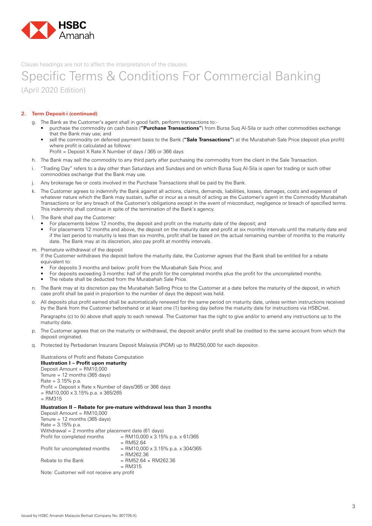

### Specific Terms & Conditions For Commercial Banking (April 2020 Edition)

#### **2. Term Deposit-i (continued)**

- g. The Bank as the Customer's agent shall in good faith, perform transactions to:
	- purchase the commodity on cash basis ("Purchase Transactions") from Bursa Sug Al-Sila or such other commodities exchange that the Bank may use; and
	- sell the commodity on deferred payment basis to the Bank ("Sale Transactions") at the Murabahah Sale Price (deposit plus profit) where profit is calculated as follows:
		- Profit = Deposit X Rate X Number of days / 365 or 366 days
- h. The Bank may sell the commodity to any third party after purchasing the commodity from the client in the Sale Transaction.
- i. "Trading Day" refers to a day other than Saturdays and Sundays and on which Bursa Suq Al-Sila is open for trading or such other commodities exchange that the Bank may use.
- j. Any brokerage fee or costs involved in the Purchase Transactions shall be paid by the Bank.
- k. The Customer agrees to indemnify the Bank against all actions, claims, demands, liabilities, losses, damages, costs and expenses of whatever nature which the Bank may sustain, suffer or incur as a result of acting as the Customer's agent in the Commodity Murabahah Transactions or for any breach of the Customer's obligations except in the event of misconduct, negligence or breach of specified terms. This indemnity shall continue in spite of the termination of the Bank's agency.
- l. The Bank shall pay the Customer:
	- For placements below 12 months, the deposit and profit on the maturity date of the deposit; and
	- For placements 12 months and above, the deposit on the maturity date and profit at six monthly intervals until the maturity date and if the last period to maturity is less than six months, profit shall be based on the actual remaining number of months to the maturity date. The Bank may at its discretion, also pay profit at monthly intervals.
- m. Premature withdrawal of the deposit

 If the Customer withdraws the deposit before the maturity date, the Customer agrees that the Bank shall be entitled for a rebate equivalent to:

- For deposits 3 months and below: profit from the Murabahah Sale Price; and
- For deposits exceeding 3 months: half of the profit for the completed months plus the profit for the uncompleted months.
- The rebate shall be deducted from the Murabahah Sale Price.
- n. The Bank may at its discretion pay the Murabahah Selling Price to the Customer at a date before the maturity of the deposit, in which case profit shall be paid in proportion to the number of days the deposit was held.
- o. All deposits plus profit earned shall be automatically renewed for the same period on maturity date, unless written instructions received by the Bank from the Customer beforehand or at least one (1) banking day before the maturity date for instructions via HSBCnet.

 Paragraphs (c) to (k) above shall apply to each renewal. The Customer has the right to give and/or to amend any instructions up to the maturity date.

- p. The Customer agrees that on the maturity or withdrawal, the deposit and/or profit shall be credited to the same account from which the deposit originated.
- q. Protected by Perbadanan Insurans Deposit Malaysia (PIDM) up to RM250,000 for each depositor.

 Illustrations of Profit and Rebate Computation  **Illustration I – Profit upon maturity** Deposit Amount = RM10,000 Tenure =  $12$  months (365 days) Rate = 3.15% p.a. Profit = Deposit x Rate x Number of days/365 or 366 days  $=$  RM10,000 x 3.15% p.a. x 365/265  $=$  RM315  **Illustration II – Rebate for pre-mature withdrawal less than 3 months** Deposit Amount = RM10,000 Tenure =  $12$  months (365 days) Rate = 3.15% p.a. Withdrawal = 2 months after placement date (61 days) Profit for completed months  $= RM10.000 \times 3.15\%$  p.a.  $\times 61/365$  $=$  RM52.64 Profit for uncompleted months  $= RM10,000 \times 3.15\%$  p.a.  $\times$  304/365  $=$  RM262.36

Rebate to the Bank  $= RM52.64 + RM262.36$ 

 $=$  RM315 Note: Customer will not receive any profit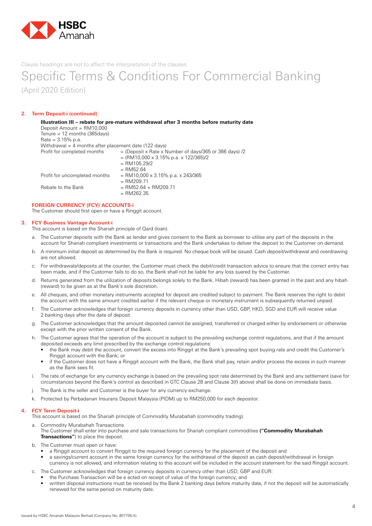

### Specific Terms & Conditions For Commercial Banking (April 2020 Edition)

#### **2. Term Deposit-i (continued)**

| Deposit Amount = $RM10,000$                                     | Illustration III – rebate for pre-mature withdrawal after 3 months before maturity date                                                             |
|-----------------------------------------------------------------|-----------------------------------------------------------------------------------------------------------------------------------------------------|
| Tenure = $12$ months (365 days)                                 |                                                                                                                                                     |
| Rate = $3.15\%$ p.a.                                            |                                                                                                                                                     |
| Withdrawal = 4 months after placement date $(122 \text{ days})$ |                                                                                                                                                     |
| Profit for completed months                                     | $=$ (Deposit x Rate x Number of days/365 or 366 days) /2<br>$= (RM10,000 \times 3.15\% \text{ p.a. x } 122/365)/2$<br>$=$ RM105.29/2<br>$=$ RM52.64 |
| Profit for uncompleted months                                   | $=$ RM10,000 x 3.15% p.a. x 243/365<br>$= RM209.71$                                                                                                 |
| Rebate to the Bank                                              | $=$ RM52.64 + RM209.71<br>$= RM262.35$                                                                                                              |

#### **FOREIGN CURRENCY (FCY) ACCOUNTS-i**

The Customer should first open or have a Ringgit account.

#### **3. FCY Business Vantage Account-i**

This account is based on the Shariah principle of Qard (loan).

- a. The Customer deposits with the Bank as lender and gives consent to the Bank as borrower to utilise any part of the deposits in the account for Shariah compliant investments or transactions and the Bank undertakes to deliver the deposit to the Customer on demand.
- b. A minimum initial deposit as determined by the Bank is required. No cheque book will be issued. Cash deposit/withdrawal and overdrawing are not allowed.
- c. For withdrawals/deposits at the counter, the Customer must check the debit/credit transaction advice to ensure that the correct entry has been made, and if the Customer fails to do so, the Bank shall not be liable for any loss suered by the Customer.
- d. Returns generated from the utilization of deposits belongs solely to the Bank. Hibah (reward) has been granted in the past and any hibah (reward) to be given as at the Bank's sole discretion.
- e. All cheques, and other monetary instruments accepted for deposit are credited subject to payment. The Bank reserves the right to debit the account with the same amount credited earlier if the relevant cheque or monetary instrument is subsequently returned unpaid.
- f. The Customer acknowledges that foreign currency deposits in currency other than USD, GBP, HKD, SGD and EUR will receive value 2 banking days after the date of deposit.
- g. The Customer acknowledges that the amount deposited cannot be assigned, transferred or charged either by endorsement or otherwise except with the prior written consent of the Bank.
- h. The Customer agrees that the operation of the account is subject to the prevailing exchange control regulations, and that if the amount deposited exceeds any limit prescribed by the exchange control regulations:
	- the Bank may debit the account, convert the excess into Ringgit at the Bank's prevailing spot buying rate and credit the Customer's Ringgit account with the Bank; or
	- if the Customer does not have a Ringgit account with the Bank, the Bank shall pay, retain and/or process the excess in such manner as the Bank sees fit.
- i. The rate of exchange for any currency exchange is based on the prevailing spot rate determined by the Bank and any settlement (save for circumstances beyond the Bank's control as described in GTC Clause 28 and Clause 3(f) above) shall be done on immediate basis.
- j. The Bank is the seller and Customer is the buyer for any currency exchange.
- k. Protected by Perbadanan Insurans Deposit Malaysia (PIDM) up to RM250,000 for each depositor.

#### **4. FCY Term Deposit-i**

This account is based on the Shariah principle of Commodity Murabahah (commodity trading).

- a. Commodity Murabahah Transactions
	- The Customer shall enter into purchase and sale transactions for Shariah compliant commodities **("Commodity Murabahah Transactions"**) to place the deposit.
- b. The Customer must open or have:
	- • a Ringgit account to convert Ringgit to the required foreign currency for the placement of the deposit and
	- a savings/current account in the same foreign currency for the withdrawal of the deposit as cash deposit/withdrawal in foreign currency is not allowed, and information relating to this account will be included in the account statement for the said Ringgit account.
- c. The Customer acknowledges that foreign currency deposits in currency other than USD, GBP and EUR:
- the Purchase Transaction will be e ected on receipt of value of the foreign currency; and
	- • written disposal instructions must be received by the Bank 2 banking days before maturity date, if not the deposit will be automatically renewed for the same period on maturity date.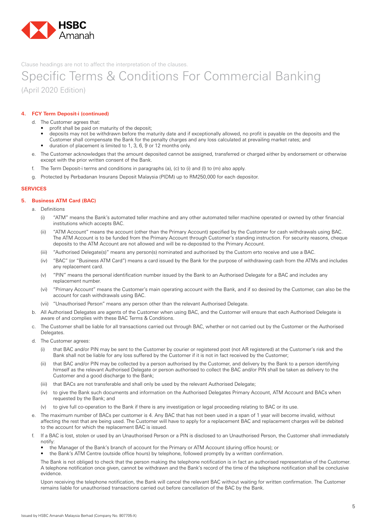

### Specific Terms & Conditions For Commercial Banking (April 2020 Edition)

#### **4. FCY Term Deposit-i (continued)**

d. The Customer agrees that:

- profit shall be paid on maturity of the deposit;
- • deposits may not be withdrawn before the maturity date and if exceptionally allowed, no profit is payable on the deposits and the Customer shall compensate the Bank for the penalty charges and any loss calculated at prevailing market rates; and
- duration of placement is limited to 1, 3, 6, 9 or 12 months only.
- e. The Customer acknowledges that the amount deposited cannot be assigned, transferred or charged either by endorsement or otherwise except with the prior written consent of the Bank.
- f. The Term Deposit-i terms and conditions in paragraphs (a), (c) to (i) and (l) to (m) also apply.
- g. Protected by Perbadanan Insurans Deposit Malaysia (PIDM) up to RM250,000 for each depositor.

#### **SERVICES**

#### **5. Business ATM Card (BAC)**

- a. Definitions
	- (i) "ATM" means the Bank's automated teller machine and any other automated teller machine operated or owned by other financial institutions which accepts BAC.
	- (ii) "ATM Account" means the account (other than the Primary Account) specified by the Customer for cash withdrawals using BAC. The ATM Account is to be funded from the Primary Account through Customer's standing instruction. For security reasons, cheque deposits to the ATM Account are not allowed and will be re-deposited to the Primary Account.
	- (iii) "Authorised Delegate(s)" means any person(s) nominated and authorised by the Custom erto receive and use a BAC.
	- (iv) "BAC" (or "Business ATM Card") means a card issued by the Bank for the purpose of withdrawing cash from the ATMs and includes any replacement card.
	- (v) "PIN" means the personal identification number issued by the Bank to an Authorised Delegate for a BAC and includes any replacement number.
	- (vi) "Primary Account" means the Customer's main operating account with the Bank, and if so desired by the Customer, can also be the account for cash withdrawals using BAC.
	- (vii) "Unauthorised Person" means any person other than the relevant Authorised Delegate.
- b. All Authorised Delegates are agents of the Customer when using BAC, and the Customer will ensure that each Authorised Delegate is aware of and complies with these BAC Terms & Conditions.
- c. The Customer shall be liable for all transactions carried out through BAC, whether or not carried out by the Customer or the Authorised Delegates.
- d. The Customer agrees:
	- (i) that BAC and/or PIN may be sent to the Customer by courier or registered post (not AR registered) at the Customer's risk and the Bank shall not be liable for any loss suffered by the Customer if it is not in fact received by the Customer;
	- (ii) that BAC and/or PIN may be collected by a person authorised by the Customer, and delivery by the Bank to a person identifying himself as the relevant Authorised Delegate or person authorised to collect the BAC and/or PIN shall be taken as delivery to the Customer and a good discharge to the Bank;
	- (iii) that BACs are not transferable and shall only be used by the relevant Authorised Delegate;
	- (iv) to give the Bank such documents and information on the Authorised Delegates Primary Account, ATM Account and BACs when requested by the Bank; and
	- (v) to give full co-operation to the Bank if there is any investigation or legal proceeding relating to BAC or its use.
- e. The maximum number of BACs per customer is 4. Any BAC that has not been used in a span of 1 year will become invalid, without affecting the rest that are being used. The Customer will have to apply for a replacement BAC and replacement charges will be debited to the account for which the replacement BAC is issued.
- f. If a BAC is lost, stolen or used by an Unauthorised Person or a PIN is disclosed to an Unauthorised Person, the Customer shall immediately notify:
	- the Manager of the Bank's branch of account for the Primary or ATM Account (during office hours); or
	- the Bank's ATM Centre (outside office hours) by telephone, followed promptly by a written confirmation.

 The Bank is not obliged to check that the person making the telephone notification is in fact an authorised representative of the Customer. A telephone notification once given, cannot be withdrawn and the Bank's record of the time of the telephone notification shall be conclusive evidence.

 Upon receiving the telephone notification, the Bank will cancel the relevant BAC without waiting for written confirmation. The Customer remains liable for unauthorised transactions carried out before cancellation of the BAC by the Bank.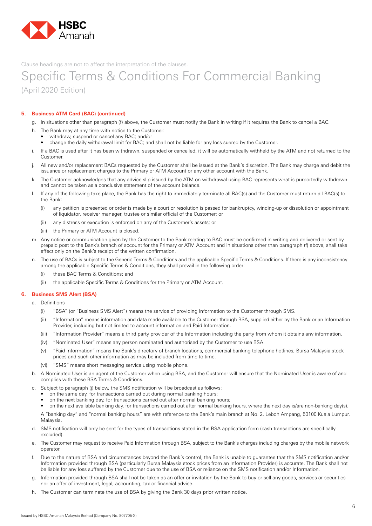

### Specific Terms & Conditions For Commercial Banking (April 2020 Edition)

#### **5. Business ATM Card (BAC) (continued)**

- g. In situations other than paragraph (f) above, the Customer must notify the Bank in writing if it requires the Bank to cancel a BAC.
- h. The Bank may at any time with notice to the Customer:
	- withdraw, suspend or cancel any BAC; and/or
	- change the daily withdrawal limit for BAC; and shall not be liable for any loss suered by the Customer.
- i. If a BAC is used after it has been withdrawn, suspended or cancelled, it will be automatically withheld by the ATM and not returned to the Customer.
- j. All new and/or replacement BACs requested by the Customer shall be issued at the Bank's discretion. The Bank may charge and debit the issuance or replacement charges to the Primary or ATM Account or any other account with the Bank.
- k. The Customer acknowledges that any advice slip issued by the ATM on withdrawal using BAC represents what is purportedly withdrawn and cannot be taken as a conclusive statement of the account balance.
- l. If any of the following take place, the Bank has the right to immediately terminate all BAC(s) and the Customer must return all BAC(s) to the Bank:
	- (i) any petition is presented or order is made by a court or resolution is passed for bankruptcy, winding-up or dissolution or appointment of liquidator, receiver manager, trustee or similar official of the Customer; or
	- (ii) any distress or execution is enforced on any of the Customer's assets; or
	- (iii) the Primary or ATM Account is closed.
- m. Any notice or communication given by the Customer to the Bank relating to BAC must be confirmed in writing and delivered or sent by prepaid post to the Bank's branch of account for the Primary or ATM Account and in situations other than paragraph (f) above, shall take effect only on the Bank's receipt of the written confirmation.
- n. The use of BACs is subject to the Generic Terms & Conditions and the applicable Specific Terms & Conditions. If there is any inconsistency among the applicable Specific Terms & Conditions, they shall prevail in the following order:
	- (i) these BAC Terms & Conditions; and
	- (ii) the applicable Specific Terms & Conditions for the Primary or ATM Account.

#### **6. Business SMS Alert (BSA)**

- a. Definitions
	- (i) "BSA" (or "Business SMS Alert") means the service of providing Information to the Customer through SMS.
	- (ii) "Information" means information and data made available to the Customer through BSA, supplied either by the Bank or an Information Provider, including but not limited to account information and Paid Information.
	- (iii) "Information Provider" means a third party provider of the Information including the party from whom it obtains any information.
	- (iv) "Nominated User" means any person nominated and authorised by the Customer to use BSA.
	- (v) "Paid Information" means the Bank's directory of branch locations, commercial banking telephone hotlines, Bursa Malaysia stock prices and such other information as may be included from time to time.
	- (vi) "SMS" means short messaging service using mobile phone.
- b. A Nominated User is an agent of the Customer when using BSA, and the Customer will ensure that the Nominated User is aware of and complies with these BSA Terms & Conditions.
- c. Subject to paragraph (j) below, the SMS notification will be broadcast as follows:
	- on the same day, for transactions carried out during normal banking hours;
	- on the next banking day, for transactions carried out after normal banking hours;
	- on the next available banking day, for transactions carried out after normal banking hours, where the next day is/are non-banking day(s).

 A "banking day" and "normal banking hours" are with reference to the Bank's main branch at No. 2, Leboh Ampang, 50100 Kuala Lumpur, Malaysia.

- d. SMS notification will only be sent for the types of transactions stated in the BSA application form (cash transactions are specifically excluded).
- The Customer may request to receive Paid Information through BSA, subject to the Bank's charges including charges by the mobile network operator.
- f. Due to the nature of BSA and circumstances beyond the Bank's control, the Bank is unable to guarantee that the SMS notification and/or Information provided through BSA (particularly Bursa Malaysia stock prices from an Information Provider) is accurate. The Bank shall not be liable for any loss suffered by the Customer due to the use of BSA or reliance on the SMS notification and/or Information.
- g. Information provided through BSA shall not be taken as an offer or invitation by the Bank to buy or sell any goods, services or securities nor an offer of investment, legal, accounting, tax or financial advice.
- h. The Customer can terminate the use of BSA by giving the Bank 30 days prior written notice.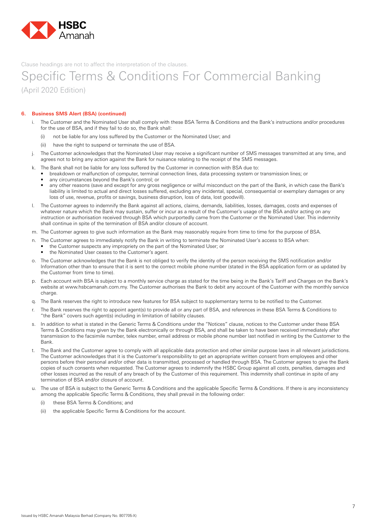

### Specific Terms & Conditions For Commercial Banking (April 2020 Edition)

#### **6. Business SMS Alert (BSA) (continued)**

- i. The Customer and the Nominated User shall comply with these BSA Terms & Conditions and the Bank's instructions and/or procedures for the use of BSA, and if they fail to do so, the Bank shall:
	- (i) not be liable for any loss suffered by the Customer or the Nominated User; and
	- (ii) have the right to suspend or terminate the use of BSA.
- j. The Customer acknowledges that the Nominated User may receive a significant number of SMS messages transmitted at any time, and agrees not to bring any action against the Bank for nuisance relating to the receipt of the SMS messages.
- k. The Bank shall not be liable for any loss suffered by the Customer in connection with BSA due to:
	- breakdown or malfunction of computer, terminal connection lines, data processing system or transmission lines; or
	- any circumstances beyond the Bank's control; or
	- any other reasons (save and except for any gross negligence or wilful misconduct on the part of the Bank, in which case the Bank's liability is limited to actual and direct losses suffered, excluding any incidental, special, consequential or exemplary damages or any loss of use, revenue, profits or savings, business disruption, loss of data, lost goodwill).
- l. The Customer agrees to indemnify the Bank against all actions, claims, demands, liabilities, losses, damages, costs and expenses of whatever nature which the Bank may sustain, suffer or incur as a result of the Customer's usage of the BSA and/or acting on any instruction or authorisation received through BSA which purportedly came from the Customer or the Nominated User. This indemnity shall continue in spite of the termination of BSA and/or closure of account.
- m. The Customer agrees to give such information as the Bank may reasonably require from time to time for the purpose of BSA.
- n. The Customer agrees to immediately notify the Bank in writing to terminate the Nominated User's access to BSA when:
- the Customer suspects any impropriety on the part of the Nominated User; or • the Nominated User ceases to the Customer's agent.
- o. The Customer acknowledges that the Bank is not obliged to verify the identity of the person receiving the SMS notification and/or Information other than to ensure that it is sent to the correct mobile phone number (stated in the BSA application form or as updated by
- the Customer from time to time). p. Each account with BSA is subject to a monthly service charge as stated for the time being in the Bank's Tariff and Charges on the Bank's website at www.hsbcamanah.com.my. The Customer authorises the Bank to debit any account of the Customer with the monthly service charge.
- q. The Bank reserves the right to introduce new features for BSA subject to supplementary terms to be notified to the Customer.
- The Bank reserves the right to appoint agent(s) to provide all or any part of BSA, and references in these BSA Terms & Conditions to "the Bank" covers such agent(s) including in limitation of liability clauses.
- s. In addition to what is stated in the Generic Terms & Conditions under the "Notices" clause, notices to the Customer under these BSA Terms & Conditions may given by the Bank electronically or through BSA, and shall be taken to have been received immediately after transmission to the facsimile number, telex number, email address or mobile phone number last notified in writing by the Customer to the Bank.
- t. The Bank and the Customer agree to comply with all applicable data protection and other similar purpose laws in all relevant jurisdictions. The Customer acknowledges that it is the Customer's responsibility to get an appropriate written consent from employees and other persons before their personal and/or other data is transmitted, processed or handled through BSA. The Customer agrees to give the Bank copies of such consents when requested. The Customer agrees to indemnify the HSBC Group against all costs, penalties, damages and other losses incurred as the result of any breach of by the Customer of this requirement. This indemnity shall continue in spite of any termination of BSA and/or closure of account.
- u. The use of BSA is subject to the Generic Terms & Conditions and the applicable Specific Terms & Conditions. If there is any inconsistency among the applicable Specific Terms & Conditions, they shall prevail in the following order:
	- (i) these BSA Terms & Conditions; and
	- (ii) the applicable Specific Terms & Conditions for the account.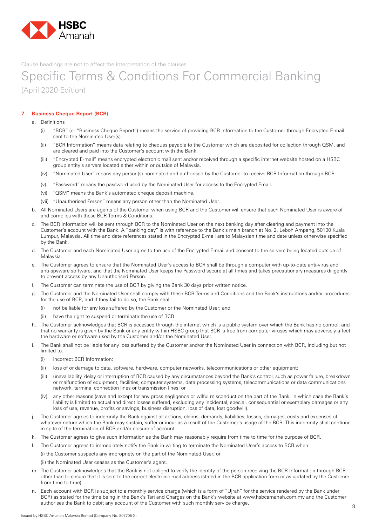

### Specific Terms & Conditions For Commercial Banking (April 2020 Edition)

#### **7. Business Cheque Report (BCR)**

- a. Definitions
	- (i) "BCR" (or "Business Cheque Report") means the service of providing BCR Information to the Customer through Encrypted E-mail sent to the Nominated User(s).
	- (ii) "BCR Information" means data relating to cheques payable to the Customer which are deposited for collection through QSM, and are cleared and paid into the Customer's account with the Bank.
	- (iii) "Encrypted E-mail" means encrypted electronic mail sent and/or received through a specific internet website hosted on a HSBC group entity's servers located either within or outside of Malaysia.
	- (iv) "Nominated User" means any person(s) nominated and authorised by the Customer to receive BCR Information through BCR.
	- (v) "Password" means the password used by the Nominated User for access to the Encrypted Email.
	- (vi) "QSM" means the Bank's automated cheque deposit machine.
	- (vii) "Unauthorised Person" means any person other than the Nominated User.
- b. All Nominated Users are agents of the Customer when using BCR and the Customer will ensure that each Nominated User is aware of and complies with these BCR Terms & Conditions.
- c. The BCR Information will be sent through BCR to the Nominated User on the next banking day after clearing and payment into the Customer's account with the Bank. A "banking day" is with reference to the Bank's main branch at No. 2, Leboh Ampang, 50100 Kuala Lumpur, Malaysia. All time and date references stated in the Encrypted E-mail are to Malaysian time and date unless otherwise specified by the Bank.
- d. The Customer and each Nominated User agree to the use of the Encrypted E-mail and consent to the servers being located outside of Malaysia.
- e. The Customer agrees to ensure that the Nominated User's access to BCR shall be through a computer with up-to-date anti-virus and anti-spyware software, and that the Nominated User keeps the Password secure at all times and takes precautionary measures diligently to prevent access by any Unauthorised Person.
- f. The Customer can terminate the use of BCR by giving the Bank 30 days prior written notice.
- g. The Customer and the Nominated User shall comply with these BCR Terms and Conditions and the Bank's instructions and/or procedures for the use of BCR, and if they fail to do so, the Bank shall:
	- (i) not be liable for any loss suffered by the Customer or the Nominated User; and
	- (ii) have the right to suspend or terminate the use of BCR.
- h. The Customer acknowledges that BCR is accessed through the internet which is a public system over which the Bank has no control, and that no warranty is given by the Bank or any entity within HSBC group that BCR is free from computer viruses which may adversely affect the hardware or software used by the Customer and/or the Nominated User.
- i. The Bank shall not be liable for any loss suffered by the Customer and/or the Nominated User in connection with BCR, including but not limited to:
	- (i) incorrect BCR Information:
	- (ii) loss of or damage to data, software, hardware, computer networks, telecommunications or other equipment;
	- (iii) unavailability, delay or interruption of BCR caused by any circumstances beyond the Bank's control, such as power failure, breakdown or malfunction of equipment, facilities, computer systems, data processing systems, telecommunications or data communications network, terminal connection lines or transmission lines; or
	- (iv) any other reasons (save and except for any gross negligence or wilful misconduct on the part of the Bank, in which case the Bank's liability is limited to actual and direct losses suffered, excluding any incidental, special, consequential or exemplary damages or any loss of use, revenue, profits or savings, business disruption, loss of data, lost goodwill).
- j. The Customer agrees to indemnify the Bank against all actions, claims, demands, liabilities, losses, damages, costs and expenses of whatever nature which the Bank may sustain, suffer or incur as a result of the Customer's usage of the BCR. This indemnity shall continue in spite of the termination of BCR and/or closure of account.
- k. The Customer agrees to give such information as the Bank may reasonably require from time to time for the purpose of BCR.
- l. The Customer agrees to immediately notify the Bank in writing to terminate the Nominated User's access to BCR when:

 (i) the Customer suspects any impropriety on the part of the Nominated User; or

- (ii) the Nominated User ceases as the Customer's agent.
- m. The Customer acknowledges that the Bank is not obliged to verify the identity of the person receiving the BCR Information through BCR other than to ensure that it is sent to the correct electronic mail address (stated in the BCR application form or as updated by the Customer from time to time).
- n. Each account with BCR is subject to a monthly service charge (which is a form of "Uirah" for the service rendered by the Bank under BCR) as stated for the time being in the Bank's Tari and Charges on the Bank's website at www.hsbcamanah.com.my and the Customer authorises the Bank to debit any account of the Customer with such monthly service charge.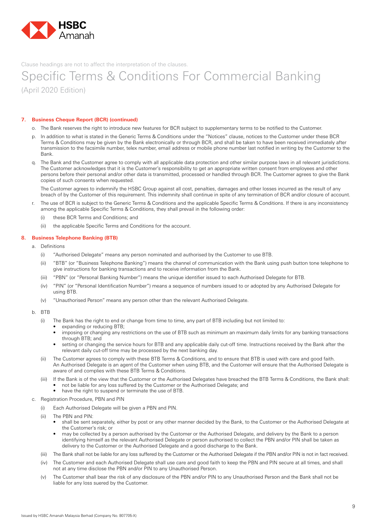

### Specific Terms & Conditions For Commercial Banking (April 2020 Edition)

#### **7. Business Cheque Report (BCR) (continued)**

- o. The Bank reserves the right to introduce new features for BCR subject to supplementary terms to be notified to the Customer.
- In addition to what is stated in the Generic Terms & Conditions under the "Notices" clause, notices to the Customer under these BCR Terms & Conditions may be given by the Bank electronically or through BCR, and shall be taken to have been received immediately after transmission to the facsimile number, telex number, email address or mobile phone number last notified in writing by the Customer to the Bank.
- q. The Bank and the Customer agree to comply with all applicable data protection and other similar purpose laws in all relevant jurisdictions. The Customer acknowledges that it is the Customer's responsibility to get an appropriate written consent from employees and other persons before their personal and/or other data is transmitted, processed or handled through BCR. The Customer agrees to give the Bank copies of such consents when requested.

 The Customer agrees to indemnify the HSBC Group against all cost, penalties, damages and other losses incurred as the result of any breach of by the Customer of this requirement. This indemnity shall continue in spite of any termination of BCR and/or closure of account.

- r. The use of BCR is subject to the Generic Terms & Conditions and the applicable Specific Terms & Conditions. If there is any inconsistency among the applicable Specific Terms & Conditions, they shall prevail in the following order:
	- (i) these BCR Terms and Conditions; and
	- (ii) the applicable Specific Terms and Conditions for the account.

#### **8. Business Telephone Banking (BTB)**

- a. Definitions
	- (i) "Authorised Delegate" means any person nominated and authorised by the Customer to use BTB.
	- (ii) "BTB" (or "Business Telephone Banking") means the channel of communication with the Bank using push button tone telephone to give instructions for banking transactions and to receive information from the Bank.
	- (iii) "PBN" (or "Personal Banking Number") means the unique identifier issued to each Authorised Delegate for BTB.
	- (iv) "PIN" (or "Personal Identification Number") means a sequence of numbers issued to or adopted by any Authorised Delegate for using BTB.
	- (v) "Unauthorised Person" means any person other than the relevant Authorised Delegate.
- b. BTB
	- (i) The Bank has the right to end or change from time to time, any part of BTB including but not limited to:
		- expanding or reducing BTB;
		- imposing or changing any restrictions on the use of BTB such as minimum an maximum daily limits for any banking transactions through BTB; and
		- setting or changing the service hours for BTB and any applicable daily cut-off time. Instructions received by the Bank after the relevant daily cut-off time may be processed by the next banking day.
	- (ii) The Customer agrees to comply with these BTB Terms & Conditions, and to ensure that BTB is used with care and good faith. An Authorised Delegate is an agent of the Customer when using BTB, and the Customer will ensure that the Authorised Delegate is aware of and complies with these BTB Terms & Conditions.
	- (iii) If the Bank is of the view that the Customer or the Authorised Delegates have breached the BTB Terms & Conditions, the Bank shall: not be liable for any loss suffered by the Customer or the Authorised Delegate; and
		- have the right to suspend or terminate the use of BTB.
- c. Registration Procedure, PBN and PIN
	- (i) Each Authorised Delegate will be given a PBN and PIN.
	- (ii) The PBN and PIN:
		- shall be sent separately, either by post or any other manner decided by the Bank, to the Customer or the Authorised Delegate at the Customer's risk; or
		- may be collected by a person authorised by the Customer or the Authorised Delegate, and delivery by the Bank to a person identifying himself as the relevant Authorised Delegate or person authorised to collect the PBN and/or PIN shall be taken as delivery to the Customer or the Authorised Delegate and a good discharge to the Bank.
	- (iii) The Bank shall not be liable for any loss suffered by the Customer or the Authorised Delegate if the PBN and/or PIN is not in fact received.
	- (iv) The Customer and each Authorised Delegate shall use care and good faith to keep the PBN and PIN secure at all times, and shall not at any time disclose the PBN and/or PIN to any Unauthorised Person.
	- (v) The Customer shall bear the risk of any disclosure of the PBN and/or PIN to any Unauthorised Person and the Bank shall not be liable for any loss suered by the Customer.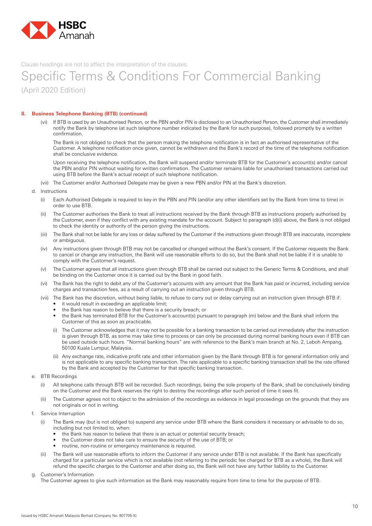

## Specific Terms & Conditions For Commercial Banking (April 2020 Edition)

#### **8. Business Telephone Banking (BTB) (continued)**

 (vi) If BTB is used by an Unauthorised Person, or the PBN and/or PIN is disclosed to an Unauthorised Person, the Customer shall immediately notify the Bank by telephone (at such telephone number indicated by the Bank for such purpose), followed promptly by a written confirmation.

 The Bank is not obliged to check that the person making the telephone notification is in fact an authorised representative of the Customer. A telephone notification once given, cannot be withdrawn and the Bank's record of the time of the telephone notification shall be conclusive evidence.

 Upon receiving the telephone notification, the Bank will suspend and/or terminate BTB for the Customer's account(s) and/or cancel the PBN and/or PIN without waiting for written confirmation. The Customer remains liable for unauthorised transactions carried out using BTB before the Bank's actual receipt of such telephone notification.

- (vii) The Customer and/or Authorised Delegate may be given a new PBN and/or PIN at the Bank's discretion.
- d. Instructions
	- (i) Each Authorised Delegate is required to key-in the PBN and PIN (and/or any other identifiers set by the Bank from time to time) in order to use BTB.
	- (ii) The Customer authorises the Bank to treat all instructions received by the Bank through BTB as instructions properly authorised by the Customer, even if they conflict with any existing mandate for the account. Subject to paragraph (d)(i) above, the Bank is not obliged to check the identity or authority of the person giving the instructions.
	- (iii) The Bank shall not be liable for any loss or delay suffered by the Customer if the instructions given through BTB are inaccurate, incomplete or ambiguous.
	- (iv) Any instructions given through BTB may not be cancelled or changed without the Bank's consent. If the Customer requests the Bank to cancel or change any instruction, the Bank will use reasonable efforts to do so, but the Bank shall not be liable if it is unable to comply with the Customer's request.
	- (v) The Customer agrees that all instructions given through BTB shall be carried out subject to the Generic Terms & Conditions, and shall be binding on the Customer once it is carried out by the Bank in good faith.
	- (vi) The Bank has the right to debit any of the Customer's accounts with any amount that the Bank has paid or incurred, including service charges and transaction fees, as a result of carrying out an instruction given through BTB.
	- (vii) The Bank has the discretion, without being liable, to refuse to carry out or delay carrying out an instruction given through BTB if: • it would result in exceeding an applicable limit;
		- the Bank has reason to believe that there is a security breach; or
		- the Bank has terminated BTB for the Customer's account(s) pursuant to paragraph (m) below and the Bank shall inform the Customer of this as soon as practicable.
		- (i) The Customer acknowledges that it may not be possible for a banking transaction to be carried out immediately after the instruction is given through BTB, as some may take time to process or can only be processed during normal banking hours even if BTB can be used outside such hours. "Normal banking hours" are with reference to the Bank's main branch at No. 2, Leboh Ampang, 50100 Kuala Lumpur, Malaysia.
		- (ii) Any exchange rate, indicative profit rate and other information given by the Bank through BTB is for general information only and is not applicable to any specific banking transaction. The rate applicable to a specific banking transaction shall be the rate offered by the Bank and accepted by the Customer for that specific banking transaction.
- e. BTB Recordings
	- (i) All telephone calls through BTB will be recorded. Such recordings, being the sole property of the Bank, shall be conclusively binding on the Customer and the Bank reserves the right to destroy the recordings after such period of time it sees fit.
	- (ii) The Customer agrees not to object to the admission of the recordings as evidence in legal proceedings on the grounds that they are not originals or not in writing.
- f. Service Interruption
	- (i) The Bank may (but is not obliged to) suspend any service under BTB where the Bank considers it necessary or advisable to do so, including but not limited to, when:
		- the Bank has reason to believe that there is an actual or potential security breach;
		- the Customer does not take care to ensure the security of the use of BTB; or
		- routine, non-routine or emergency maintenance is required.
	- (ii) The Bank will use reasonable efforts to inform the Customer if any service under BTB is not available. If the Bank has specifically charged for a particular service which is not available (not referring to the periodic fee charged for BTB as a whole), the Bank will refund the specific charges to the Customer and after doing so, the Bank will not have any further liability to the Customer.
- g. Customer's Information

The Customer agrees to give such information as the Bank may reasonably require from time to time for the purpose of BTB.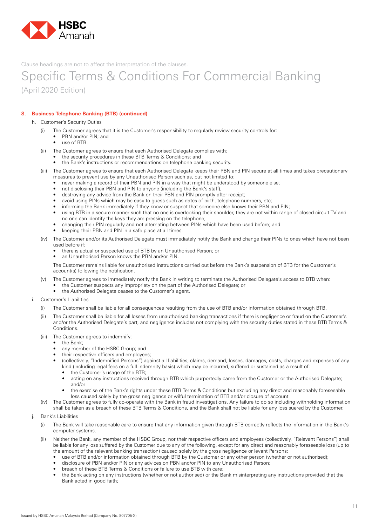

### Specific Terms & Conditions For Commercial Banking (April 2020 Edition)

#### **8. Business Telephone Banking (BTB) (continued)**

- h. Customer's Security Duties
	- (i) The Customer agrees that it is the Customer's responsibility to regularly review security controls for:
		- PBN and/or PIN; and
		- • use of BTB.
	- (ii) The Customer agrees to ensure that each Authorised Delegate complies with:
		- the security procedures in these BTB Terms & Conditions; and
		- the Bank's instructions or recommendations on telephone banking security.
	- (iii) The Customer agrees to ensure that each Authorised Delegate keeps their PBN and PIN secure at all times and takes precautionary measures to prevent use by any Unauthorised Person such as, but not limited to:
		- never making a record of their PBN and PIN in a way that might be understood by someone else;
		- not disclosing their PBN and PIN to anyone (including the Bank's staff);
		- destroying any advice from the Bank on their PBN and PIN promptly after receipt;
		- avoid using PINs which may be easy to guess such as dates of birth, telephone numbers, etc;
		- informing the Bank immediately if they know or suspect that someone else knows their PBN and PIN;
		- using BTB in a secure manner such that no one is overlooking their shoulder, they are not within range of closed circuit TV and no one can identify the keys they are pressing on the telephone;
		- changing their PIN regularly and not alternating between PINs which have been used before; and
		- keeping their PBN and PIN in a safe place at all times.
	- (iv) The Customer and/or its Authorised Delegate must immediately notify the Bank and change their PINs to ones which have not been used before if:
		- there is actual or suspected use of BTB by an Unauthorised Person; or
		- an Unauthorised Person knows the PBN and/or PIN.

 The Customer remains liable for unauthorised instructions carried out before the Bank's suspension of BTB for the Customer's account(s) following the notification.

- (v) The Customer agrees to immediately notify the Bank in writing to terminate the Authorised Delegate's access to BTB when:
	- the Customer suspects any impropriety on the part of the Authorised Delegate; or
	- the Authorised Delegate ceases to the Customer's agent.
- i. Customer's Liabilities
	- (i) The Customer shall be liable for all consequences resulting from the use of BTB and/or information obtained through BTB.
	- (ii) The Customer shall be liable for all losses from unauthorised banking transactions if there is negligence or fraud on the Customer's and/or the Authorised Delegate's part, and negligence includes not complying with the security duties stated in these BTB Terms & **Conditions**
	- (iii) The Customer agrees to indemnify:
		- the Bank:
		- any member of the HSBC Group; and
		- their respective officers and employees;
		- (collectively, "Indemnified Persons") against all liabilities, claims, demand, losses, damages, costs, charges and expenses of any kind (including legal fees on a full indemnity basis) which may be incurred, suffered or sustained as a result of:
			- the Customer's usage of the BTB;
			- acting on any instructions received through BTB which purportedly came from the Customer or the Authorised Delegate; and/or
			- the exercise of the Bank's rights under these BTB Terms & Conditions but excluding any direct and reasonably foreseeable loss caused solely by the gross negligence or wilful termination of BTB and/or closure of account.
	- (iv) The Customer agrees to fully co-operate with the Bank in fraud investigations. Any failure to do so including withholding information shall be taken as a breach of these BTB Terms & Conditions, and the Bank shall not be liable for any loss suered by the Customer.
- j. Bank's Liabilities
	- (i) The Bank will take reasonable care to ensure that any information given through BTB correctly reflects the information in the Bank's computer systems.
	- (ii) Neither the Bank, any member of the HSBC Group, nor their respective officers and employees (collectively, "Relevant Persons") shall be liable for any loss suffered by the Customer due to any of the following, except for any direct and reasonably foreseeable loss (up to the amount of the relevant banking transaction) caused solely by the gross negligence or levant Persons:
		- use of BTB and/or information obtained through BTB by the Customer or any other person (whether or not authorised);
		- disclosure of PBN and/or PIN or any advices on PBN and/or PIN to any Unauthorised Person;
		- breach of these BTB Terms & Conditions or failure to use BTB with care;
		- the Bank acting on any instructions (whether or not authorised) or the Bank misinterpreting any instructions provided that the Bank acted in good faith;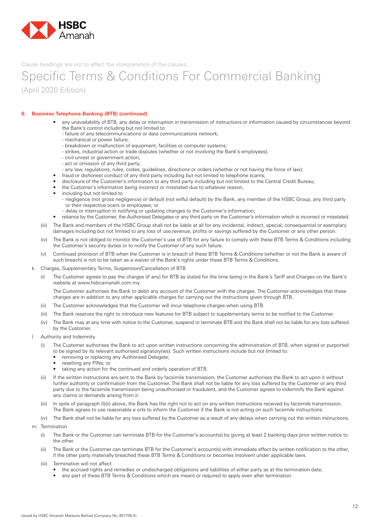

## Specific Terms & Conditions For Commercial Banking (April 2020 Edition)

#### **8. Business Telephone Banking (BTB) (continued)**

- any unavailability of BTB, any delay or interruption in transmission of instructions or information caused by circumstances beyond the Bank's control including but not limited to:
	- failure of any telecommunications or data communications network;
	- mechanical or power failure;
	- breakdown or malfunction of equipment, facilities or computer systems;
	- strikes, industrial action or trade disputes (whether or not involving the Bank's employees);
	- civil unrest or government action;
	- act or omission of any third party;
	- any law, regulations, rules, codes, guidelines, directions or orders (whether or not having the force of law);
- fraud or dishonest conduct of any third party including but not limited to telephone scams;
- disclosure of the Customer's information to any third party including but not limited to the Central Credit Bureau;
- the Customer's information being incorrect or misstated due to whatever reason,
- including but not limited to:
	- negligence (not gross negligence) or default (not wilful default) by the Bank, any member of the HSBC Group, any third party or their respective ocers or employees; or
- delay or interruption in notifying or updating changes to the Customer's information;
- reliance by the Customer, the Authorised Delegates or any third party on the Customer's information which is incorrect or misstated.
- (iii) The Bank and members of the HSBC Group shall not be liable at all for any incidental, indirect, special, consequential or exemplary damages including but not limited to any loss of use,revenue, profits or savings suffered by the Customer or any other person.
- (iv) The Bank is not obliged to monitor the Customer's use of BTB for any failure to comply with these BTB Terms & Conditions including the Customer's security duties or to notify the Customer of any such failure.
- (v) Continued provision of BTB when the Customer is in breach of these BTB Terms & Conditions (whether or not the Bank is aware of such breach) is not to be taken as a waiver of the Bank's rights under these BTB Terms & Conditions.
- k. Charges, Supplementary Terms, Suspension/Cancellation of BTB
	- (i) The Customer agrees to pay the charges (if any) for BTB as stated for the time being in the Bank's Tariff and Charges on the Bank's website at www.hsbcamanah.com.my.

 The Customer authorises the Bank to debit any account of the Customer with the charges. The Customer acknowledges that these charges are in addition to any other applicable charges for carrying out the instructions given through BTB.

- (ii) The Customer acknowledges that the Customer will incur telephone charges when using BTB.
- (iii) The Bank reserves the right to introduce new features for BTB subject to supplementary terms to be notified to the Customer.
- (iv) The Bank may at any time with notice to the Customer, suspend or terminate BTB and the Bank shall not be liable for any loss suffered by the Customer.
- l. Authority and Indemnity
	- (i) The Customer authorises the Bank to act upon written instructions concerning the administration of BTB, when signed or purported to be signed by its relevant authorised signatory(ies). Such written instructions include but not limited to:
		- removing or replacing any Authorised Delegate;
		- resetting any PINs; or
		- taking any action for the continued and orderly operation of BTB.
	- (ii) If the written instructions are sent to the Bank by facsimile transmission, the Customer authorises the Bank to act upon it without further authority or confirmation from the Customer. The Bank shall not be liable for any loss suffered by the Customer or any third party due to the facsimile transmission being unauthorised or fraudulent, and the Customer agrees to indemnify the Bank against any claims or demands arising from it.
	- (iii) In spite of paragraph (l)(ii) above, the Bank has the right not to act on any written instructions received by facsimile transmission. The Bank agrees to use reasonable e orts to inform the Customer if the Bank is not acting on such facsimile instructions.

(iv) The Bank shall not be liable for any loss suffered by the Customer as a result of any delays when carrying out the written instructions.

- m. Termination
	- (i) The Bank or the Customer can terminate BTB for the Customer's account(s) by giving at least 2 banking days prior written notice to the other.
	- (ii) The Bank or the Customer can terminate BTB for the Customer's account(s) with immediate effect by written notification to the other, if the other party materially breached these BTB Terms & Conditions or becomes insolvent under applicable laws.
	- (iii) Termination will not affect:
		- the accrued rights and remedies or undischarged obligations and liabilities of either party as at the termination date;
		- any part of these BTB Terms & Conditions which are meant or required to apply even after termination.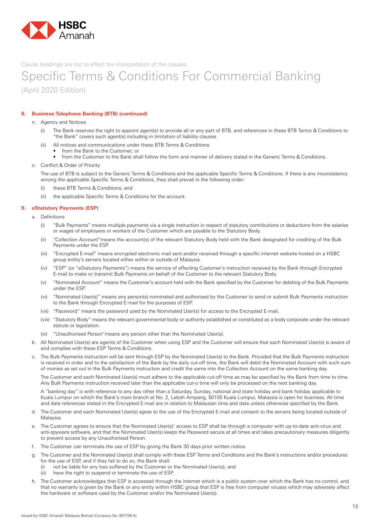

### Specific Terms & Conditions For Commercial Banking (April 2020 Edition)

#### **8. Business Telephone Banking (BTB) (continued)**

- n. Agency and Notices
	- (i) The Bank reserves the right to appoint agent(s) to provide all or any part of BTB, and references in these BTB Terms & Conditions to "the Bank" covers such agent(s) including in limitation of liability clauses.
	- (ii) All notices and communications under these BTB Terms & Conditions:
		- from the Bank to the Customer; or
			- from the Customer to the Bank shall follow the form and manner of delivery stated in the Generic Terms & Conditions.
- o. Conflict & Order of Priority

 The use of BTB is subject to the Generic Terms & Conditions and the applicable Specific Terms & Conditions. If there is any inconsistency among the applicable Specific Terms & Conditions, they shall prevail in the following order:

- (i) these BTB Terms & Conditions; and
- (ii) the applicable Specific Terms & Conditions for the account.

#### **9. eStatutory Payments (ESP)**

- a. Definitions
	- (i) "Bulk Payments" means multiple payments via a single instruction in respect of statutory contributions or deductions from the salaries or wages of employees or workers of the Customer which are payable to the Statutory Body.
	- (ii) "Collection Account" means the account(s) of the relevant Statutory Body held with the Bank designated for crediting of the Bulk Payments under the ESP.
	- (iii) "Encrypted E-mail" means encrypted electronic mail sent and/or received through a specific internet website hosted on a HSBC group entity's servers located either within or outside of Malaysia.
	- (iv) "ESP" (or "eStatutory Payments") means the service of effecting Customer's instruction received by the Bank through Encrypted E-mail to make or transmit Bulk Payments on behalf of the Customer to the relevant Statutory Body.
	- (v) "Nominated Account" means the Customer's account held with the Bank specified by the Customer for debiting of the Bulk Payments under the ESP.
	- (vi) "Nominated User(s)" means any person(s) nominated and authorised by the Customer to send or submit Bulk Payments instruction to the Bank through Encrypted E-mail for the purposes of ESP.
	- (vii) "Password" means the password used by the Nominated User(s) for access to the Encrypted E-mail.
	- (viii) "Statutory Body" means the relevant governmental body or authority established or constituted as a body corporate under the relevant statute or legislation.
	- (ix) "Unauthorised Person" means any person other than the Nominated User(s).
- b. All Nominated User(s) are agents of the Customer when using ESP and the Customer will ensure that each Nominated User(s) is aware of and complies with these ESP Terms & Conditions.
- c. The Bulk Payments instruction will be sent through ESP by the Nominated User(s) to the Bank. Provided that the Bulk Payments instruction is received in order and to the satisfaction of the Bank by the daily cut-off time, the Bank will debit the Nominated Account with such sum of monies as set out in the Bulk Payments instruction and credit the same into the Collection Account on the same banking day.

 The Customer and each Nominated User(s) must adhere to the applicable cut-off time as may be specified by the Bank from time to time. Any Bulk Payments instruction received later than the applicable cut-o time will only be processed on the next banking day.

 A "banking day" is with reference to any day other than a Saturday, Sunday, national and state holiday and bank holiday applicable to Kuala Lumpur on which the Bank's main branch at No. 2, Leboh Ampang, 50100 Kuala Lumpur, Malaysia is open for business. All time and date references stated in the Encrypted E-mail are in relation to Malaysian time and date unless otherwise specified by the Bank.

- The Customer and each Nominated User(s) agree to the use of the Encrypted E-mail and consent to the servers being located outside of Malaysia.
- e. The Customer agrees to ensure that the Nominated User(s)' access to ESP shall be through a computer with up-to-date anti-virus and anti-spyware software, and that the Nominated User(s) keeps the Password secure at all times and takes precautionary measures diligently to prevent access by any Unauthorised Person.
- f. The Customer can terminate the use of ESP by giving the Bank 30 days prior written notice.
- The Customer and the Nominated User(s) shall comply with these ESP Terms and Conditions and the Bank's instructions and/or procedures for the use of ESP, and if they fail to do so, the Bank shall:
	- (i) not be liable for any loss suffered by the Customer or the Nominated User(s); and
	- (ii) have the right to suspend or terminate the use of ESP.
- h. The Customer acknowledges that ESP is accessed through the internet which is a public system over which the Bank has no control, and that no warranty is given by the Bank or any entity within HSBC group that ESP is free from computer viruses which may adversely affect the hardware or software used by the Customer and/or the Nominated User(s).